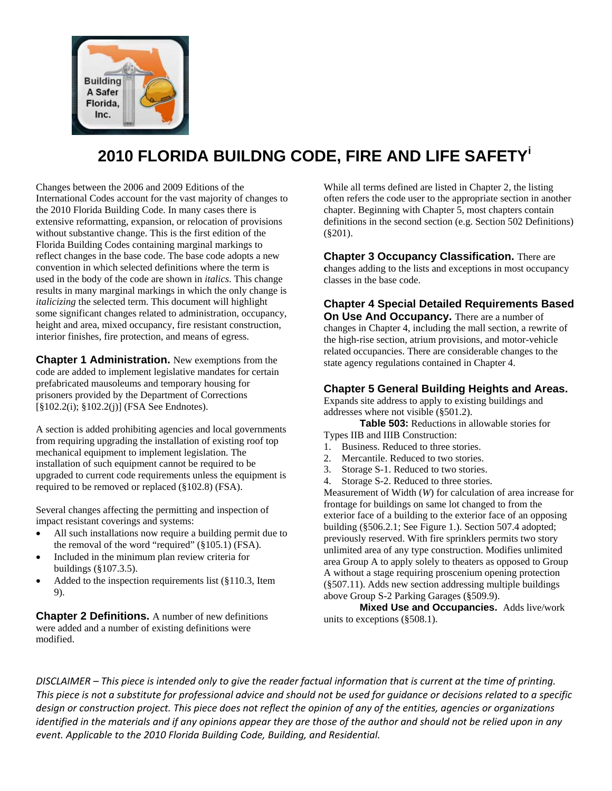

# **2010 FLORIDA BUILDNG CODE, FIRE AND LIFE SAFETY[i](#page-5-0)**

Changes between the 2006 and 2009 Editions of the International Codes account for the vast majority of changes to the 2010 Florida Building Code. In many cases there is extensive reformatting, expansion, or relocation of provisions without substantive change. This is the first edition of the Florida Building Codes containing marginal markings to reflect changes in the base code. The base code adopts a new convention in which selected definitions where the term is used in the body of the code are shown in *italics*. This change results in many marginal markings in which the only change is *italicizing* the selected term. This document will highlight some significant changes related to administration, occupancy, height and area, mixed occupancy, fire resistant construction, interior finishes, fire protection, and means of egress.

**Chapter 1 Administration.** New exemptions from the code are added to implement legislative mandates for certain prefabricated mausoleums and temporary housing for prisoners provided by the Department of Corrections [§102.2(i); §102.2(j)] (FSA See Endnotes).

A section is added prohibiting agencies and local governments from requiring upgrading the installation of existing roof top mechanical equipment to implement legislation. The installation of such equipment cannot be required to be upgraded to current code requirements unless the equipment is required to be removed or replaced (§102.8) (FSA).

Several changes affecting the permitting and inspection of impact resistant coverings and systems:

- All such installations now require a building permit due to the removal of the word "required" (§105.1) (FSA).
- Included in the minimum plan review criteria for buildings (§107.3.5).
- Added to the inspection requirements list (§110.3, Item 9).

**Chapter 2 Definitions.** A number of new definitions were added and a number of existing definitions were modified.

While all terms defined are listed in Chapter 2, the listing often refers the code user to the appropriate section in another chapter. Beginning with Chapter 5, most chapters contain definitions in the second section (e.g. Section 502 Definitions) (§201).

**Chapter 3 Occupancy Classification.** There are **c**hanges adding to the lists and exceptions in most occupancy classes in the base code.

**Chapter 4 Special Detailed Requirements Based On Use And Occupancy.** There are a number of changes in Chapter 4, including the mall section, a rewrite of the high-rise section, atrium provisions, and motor-vehicle related occupancies. There are considerable changes to the state agency regulations contained in Chapter 4.

## **Chapter 5 General Building Heights and Areas.**

Expands site address to apply to existing buildings and addresses where not visible (§501.2).

 **Table 503:** Reductions in allowable stories for Types IIB and IIIB Construction:

- 1. Business. Reduced to three stories.
- 2. Mercantile. Reduced to two stories.
- 3. Storage S-1. Reduced to two stories.
- 4. Storage S-2. Reduced to three stories.

Measurement of Width (*W*) for calculation of area increase for frontage for buildings on same lot changed to from the exterior face of a building to the exterior face of an opposing building (§506.2.1; See Figure 1.). Section 507.4 adopted; previously reserved. With fire sprinklers permits two story unlimited area of any type construction. Modifies unlimited area Group A to apply solely to theaters as opposed to Group A without a stage requiring proscenium opening protection (§507.11). Adds new section addressing multiple buildings above Group S-2 Parking Garages (§509.9).

 **Mixed Use and Occupancies.** Adds live/work units to exceptions (§508.1).

DISCLAIMER – This piece is intended only to give the reader factual information that is current at the time of printing. This piece is not a substitute for professional advice and should not be used for quidance or decisions related to a specific design or construction project. This piece does not reflect the opinion of any of the entities, agencies or organizations identified in the materials and if any opinions appear they are those of the author and should not be relied upon in any *event. Applicable to the 2010 Florida Building Code, Building, and Residential.*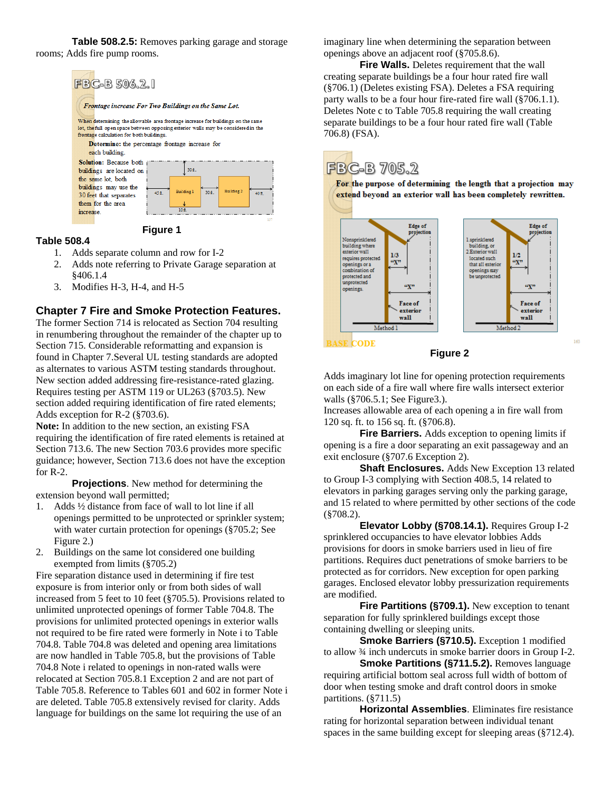**Table 508.2.5:** Removes parking garage and storage rooms; Adds fire pump rooms.



#### **Table 508.4**

- 1. Adds separate column and row for I-2
- 2. Adds note referring to Private Garage separation at §406.1.4
- 3. Modifies H-3, H-4, and H-5

## **Chapter 7 Fire and Smoke Protection Features.**

The former Section 714 is relocated as Section 704 resulting in renumbering throughout the remainder of the chapter up to Section 715. Considerable reformatting and expansion is found in Chapter 7.Several UL testing standards are adopted as alternates to various ASTM testing standards throughout. New section added addressing fire-resistance-rated glazing. Requires testing per ASTM 119 or UL263 (§703.5). New section added requiring identification of fire rated elements; Adds exception for R-2 (§703.6).

**Note:** In addition to the new section, an existing FSA requiring the identification of fire rated elements is retained at Section 713.6. The new Section 703.6 provides more specific guidance; however, Section 713.6 does not have the exception for R-2.

 **Projections**. New method for determining the extension beyond wall permitted;

- 1. Adds ½ distance from face of wall to lot line if all openings permitted to be unprotected or sprinkler system; with water curtain protection for openings (§705.2; See Figure 2.)
- 2. Buildings on the same lot considered one building exempted from limits (§705.2)

Fire separation distance used in determining if fire test exposure is from interior only or from both sides of wall increased from 5 feet to 10 feet (§705.5). Provisions related to unlimited unprotected openings of former Table 704.8. The provisions for unlimited protected openings in exterior walls not required to be fire rated were formerly in Note i to Table 704.8. Table 704.8 was deleted and opening area limitations are now handled in Table 705.8, but the provisions of Table 704.8 Note i related to openings in non-rated walls were relocated at Section 705.8.1 Exception 2 and are not part of Table 705.8. Reference to Tables 601 and 602 in former Note i are deleted. Table 705.8 extensively revised for clarity. Adds language for buildings on the same lot requiring the use of an

imaginary line when determining the separation between openings above an adjacent roof (§705.8.6).

**Fire Walls.** Deletes requirement that the wall creating separate buildings be a four hour rated fire wall (§706.1) (Deletes existing FSA). Deletes a FSA requiring party walls to be a four hour fire-rated fire wall (§706.1.1). Deletes Note c to Table 705.8 requiring the wall creating separate buildings to be a four hour rated fire wall (Table 706.8) (FSA).

# **FBC-B 705.2**

For the purpose of determining the length that a projection may extend beyond an exterior wall has been completely rewritten.



## **Figure 2**

Adds imaginary lot line for opening protection requirements on each side of a fire wall where fire walls intersect exterior walls (§706.5.1; See Figure3.).

Increases allowable area of each opening a in fire wall from 120 sq. ft. to 156 sq. ft. (§706.8).

 **Fire Barriers.** Adds exception to opening limits if opening is a fire a door separating an exit passageway and an exit enclosure (§707.6 Exception 2).

 **Shaft Enclosures.** Adds New Exception 13 related to Group I-3 complying with Section 408.5, 14 related to elevators in parking garages serving only the parking garage, and 15 related to where permitted by other sections of the code (§708.2).

 **Elevator Lobby (§708.14.1).** Requires Group I-2 sprinklered occupancies to have elevator lobbies Adds provisions for doors in smoke barriers used in lieu of fire partitions. Requires duct penetrations of smoke barriers to be protected as for corridors. New exception for open parking garages. Enclosed elevator lobby pressurization requirements are modified.

**Fire Partitions (§709.1).** New exception to tenant separation for fully sprinklered buildings except those containing dwelling or sleeping units.

**Smoke Barriers (§710.5).** Exception 1 modified to allow ¾ inch undercuts in smoke barrier doors in Group I-2.

**Smoke Partitions (§711.5.2).** Removes language requiring artificial bottom seal across full width of bottom of door when testing smoke and draft control doors in smoke partitions. (§711.5)

 **Horizontal Assemblies**. Eliminates fire resistance rating for horizontal separation between individual tenant spaces in the same building except for sleeping areas (§712.4).

163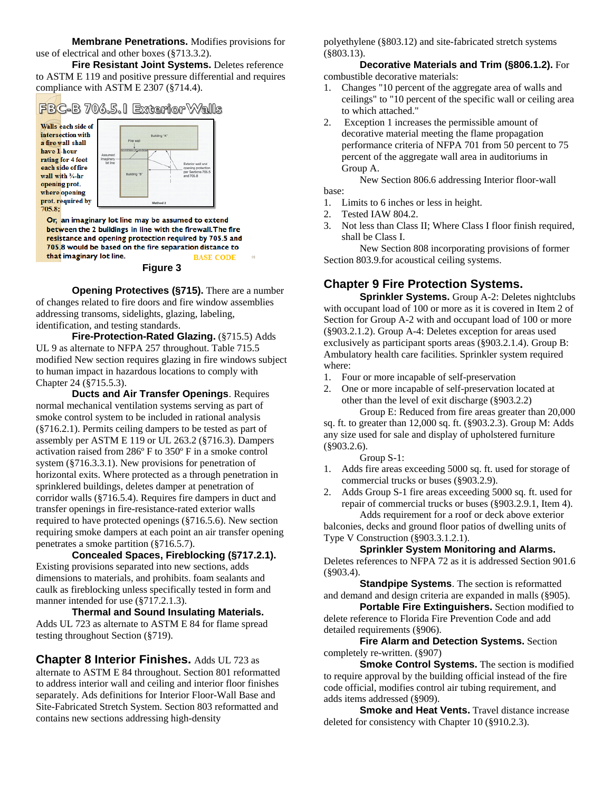**Membrane Penetrations.** Modifies provisions for use of electrical and other boxes (§713.3.2).

 **Fire Resistant Joint Systems.** Deletes reference to ASTM E 119 and positive pressure differential and requires compliance with ASTM E 2307 (§714.4).

FBC-B 706.5.1 Exterior Walls Walls each side of intersection with a fire wall shall have 1-hour rating for 4 feet each side of fire wall with 3/4-hr opening prot. where opening prot. required by  $705.8;$ Or, an imaginary lot line may be assumed to extend

between the 2 buildings in line with the firewall. The fire resistance and opening protection required by 705.5 and 705.8 would be based on the fire separation distance to that imaginary lot line. **BASE CODE** 

**Figure 3** 

98

 **Opening Protectives (§715).** There are a number of changes related to fire doors and fire window assemblies addressing transoms, sidelights, glazing, labeling, identification, and testing standards.

 **Fire-Protection-Rated Glazing.** (§715.5) Adds UL 9 as alternate to NFPA 257 throughout. Table 715.5 modified New section requires glazing in fire windows subject to human impact in hazardous locations to comply with Chapter 24 (§715.5.3).

 **Ducts and Air Transfer Openings**. Requires normal mechanical ventilation systems serving as part of smoke control system to be included in rational analysis (§716.2.1). Permits ceiling dampers to be tested as part of assembly per ASTM E 119 or UL 263.2 (§716.3). Dampers activation raised from 286º F to 350º F in a smoke control system (§716.3.3.1). New provisions for penetration of horizontal exits. Where protected as a through penetration in sprinklered buildings, deletes damper at penetration of corridor walls (§716.5.4). Requires fire dampers in duct and transfer openings in fire-resistance-rated exterior walls required to have protected openings (§716.5.6). New section requiring smoke dampers at each point an air transfer opening penetrates a smoke partition (§716.5.7).

 **Concealed Spaces, Fireblocking (§717.2.1).** Existing provisions separated into new sections, adds dimensions to materials, and prohibits. foam sealants and caulk as fireblocking unless specifically tested in form and manner intended for use (§717.2.1.3).

 **Thermal and Sound Insulating Materials.** Adds UL 723 as alternate to ASTM E 84 for flame spread testing throughout Section (§719).

**Chapter 8 Interior Finishes.** Adds UL 723 as alternate to ASTM E 84 throughout. Section 801 reformatted to address interior wall and ceiling and interior floor finishes separately. Ads definitions for Interior Floor-Wall Base and Site-Fabricated Stretch System. Section 803 reformatted and contains new sections addressing high-density

polyethylene (§803.12) and site-fabricated stretch systems (§803.13).

 **Decorative Materials and Trim (§806.1.2).** For combustible decorative materials:

- 1. Changes "10 percent of the aggregate area of walls and ceilings" to "10 percent of the specific wall or ceiling area to which attached."
- 2. Exception 1 increases the permissible amount of decorative material meeting the flame propagation performance criteria of NFPA 701 from 50 percent to 75 percent of the aggregate wall area in auditoriums in Group A.

 New Section 806.6 addressing Interior floor-wall base:

- 1. Limits to 6 inches or less in height.
- 2. Tested IAW 804.2.
- 3. Not less than Class II; Where Class I floor finish required, shall be Class I.

 New Section 808 incorporating provisions of former Section 803.9.for acoustical ceiling systems.

# **Chapter 9 Fire Protection Systems.**

**Sprinkler Systems.** Group A-2: Deletes nightclubs with occupant load of 100 or more as it is covered in Item 2 of Section for Group A-2 with and occupant load of 100 or more (§903.2.1.2). Group A-4: Deletes exception for areas used exclusively as participant sports areas (§903.2.1.4). Group B: Ambulatory health care facilities. Sprinkler system required where:

- 1. Four or more incapable of self-preservation
- 2. One or more incapable of self-preservation located at other than the level of exit discharge (§903.2.2)

 Group E: Reduced from fire areas greater than 20,000 sq. ft. to greater than 12,000 sq. ft. (§903.2.3). Group M: Adds any size used for sale and display of upholstered furniture (§903.2.6).

Group S-1:

1. Adds fire areas exceeding 5000 sq. ft. used for storage of commercial trucks or buses (§903.2.9).

2. Adds Group S-1 fire areas exceeding 5000 sq. ft. used for repair of commercial trucks or buses (§903.2.9.1, Item 4). Adds requirement for a roof or deck above exterior

balconies, decks and ground floor patios of dwelling units of Type V Construction (§903.3.1.2.1).

## **Sprinkler System Monitoring and Alarms.**

Deletes references to NFPA 72 as it is addressed Section 901.6 (§903.4).

**Standpipe Systems**. The section is reformatted and demand and design criteria are expanded in malls (§905).

**Portable Fire Extinguishers.** Section modified to delete reference to Florida Fire Prevention Code and add detailed requirements (§906).

 **Fire Alarm and Detection Systems.** Section completely re-written. (§907)

 **Smoke Control Systems.** The section is modified to require approval by the building official instead of the fire code official, modifies control air tubing requirement, and adds items addressed (§909).

**Smoke and Heat Vents.** Travel distance increase deleted for consistency with Chapter 10 (§910.2.3).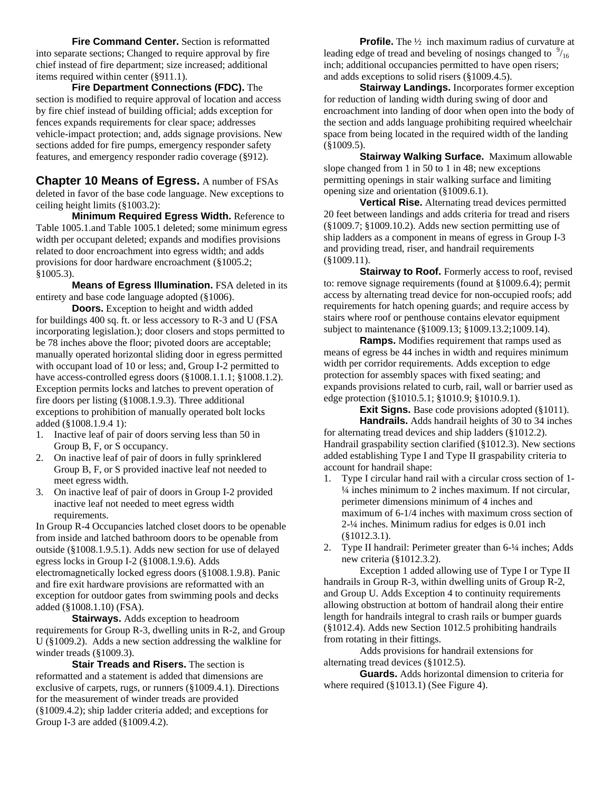**Fire Command Center.** Section is reformatted into separate sections; Changed to require approval by fire chief instead of fire department; size increased; additional items required within center (§911.1).

 **Fire Department Connections (FDC).** The section is modified to require approval of location and access by fire chief instead of building official; adds exception for fences expands requirements for clear space; addresses vehicle-impact protection; and, adds signage provisions. New sections added for fire pumps, emergency responder safety features, and emergency responder radio coverage (§912).

**Chapter 10 Means of Egress.** A number of FSAs deleted in favor of the base code language. New exceptions to ceiling height limits (§1003.2):

 **Minimum Required Egress Width.** Reference to Table 1005.1.and Table 1005.1 deleted; some minimum egress width per occupant deleted; expands and modifies provisions related to door encroachment into egress width; and adds provisions for door hardware encroachment (§1005.2; §1005.3).

 **Means of Egress Illumination.** FSA deleted in its entirety and base code language adopted (§1006).

 **Doors.** Exception to height and width added for buildings 400 sq. ft. or less accessory to R-3 and U (FSA incorporating legislation.); door closers and stops permitted to be 78 inches above the floor; pivoted doors are acceptable; manually operated horizontal sliding door in egress permitted with occupant load of 10 or less; and, Group I-2 permitted to have access-controlled egress doors (§1008.1.1.1; §1008.1.2). Exception permits locks and latches to prevent operation of fire doors per listing (§1008.1.9.3). Three additional exceptions to prohibition of manually operated bolt locks added (§1008.1.9.4 1):

- 1. Inactive leaf of pair of doors serving less than 50 in Group B, F, or S occupancy.
- 2. On inactive leaf of pair of doors in fully sprinklered Group B, F, or S provided inactive leaf not needed to meet egress width.
- 3. On inactive leaf of pair of doors in Group I-2 provided inactive leaf not needed to meet egress width requirements.

In Group R-4 Occupancies latched closet doors to be openable from inside and latched bathroom doors to be openable from outside (§1008.1.9.5.1). Adds new section for use of delayed egress locks in Group I-2 (§1008.1.9.6). Adds electromagnetically locked egress doors (§1008.1.9.8). Panic and fire exit hardware provisions are reformatted with an exception for outdoor gates from swimming pools and decks added (§1008.1.10) (FSA).

 **Stairways.** Adds exception to headroom requirements for Group R-3, dwelling units in R-2, and Group U (§1009.2). Adds a new section addressing the walkline for winder treads (§1009.3).

 **Stair Treads and Risers.** The section is reformatted and a statement is added that dimensions are exclusive of carpets, rugs, or runners (§1009.4.1). Directions for the measurement of winder treads are provided (§1009.4.2); ship ladder criteria added; and exceptions for Group I-3 are added (§1009.4.2).

**Profile.** The  $\frac{1}{2}$  inch maximum radius of curvature at leading edge of tread and beveling of nosings changed to  $\frac{9}{16}$ inch; additional occupancies permitted to have open risers; and adds exceptions to solid risers (§1009.4.5).

**Stairway Landings.** Incorporates former exception for reduction of landing width during swing of door and encroachment into landing of door when open into the body of the section and adds language prohibiting required wheelchair space from being located in the required width of the landing (§1009.5).

 **Stairway Walking Surface.** Maximum allowable slope changed from 1 in 50 to 1 in 48; new exceptions permitting openings in stair walking surface and limiting opening size and orientation (§1009.6.1).

 **Vertical Rise.** Alternating tread devices permitted 20 feet between landings and adds criteria for tread and risers (§1009.7; §1009.10.2). Adds new section permitting use of ship ladders as a component in means of egress in Group I-3 and providing tread, riser, and handrail requirements (§1009.11).

**Stairway to Roof.** Formerly access to roof, revised to: remove signage requirements (found at §1009.6.4); permit access by alternating tread device for non-occupied roofs; add requirements for hatch opening guards; and require access by stairs where roof or penthouse contains elevator equipment subject to maintenance (§1009.13; §1009.13.2;1009.14).

 **Ramps.** Modifies requirement that ramps used as means of egress be 44 inches in width and requires minimum width per corridor requirements. Adds exception to edge protection for assembly spaces with fixed seating; and expands provisions related to curb, rail, wall or barrier used as edge protection (§1010.5.1; §1010.9; §1010.9.1).

**Exit Signs.** Base code provisions adopted (§1011).  **Handrails.** Adds handrail heights of 30 to 34 inches for alternating tread devices and ship ladders (§1012.2). Handrail graspability section clarified (§1012.3). New sections added establishing Type I and Type II graspability criteria to account for handrail shape:

- 1. Type I circular hand rail with a circular cross section of 1- ¼ inches minimum to 2 inches maximum. If not circular, perimeter dimensions minimum of 4 inches and maximum of 6-1/4 inches with maximum cross section of 2-¼ inches. Minimum radius for edges is 0.01 inch (§1012.3.1).
- 2. Type II handrail: Perimeter greater than 6-¼ inches; Adds new criteria (§1012.3.2).

 Exception 1 added allowing use of Type I or Type II handrails in Group R-3, within dwelling units of Group R-2, and Group U. Adds Exception 4 to continuity requirements allowing obstruction at bottom of handrail along their entire length for handrails integral to crash rails or bumper guards (§1012.4). Adds new Section 1012.5 prohibiting handrails from rotating in their fittings.

 Adds provisions for handrail extensions for alternating tread devices (§1012.5).

 **Guards.** Adds horizontal dimension to criteria for where required (§1013.1) (See Figure 4).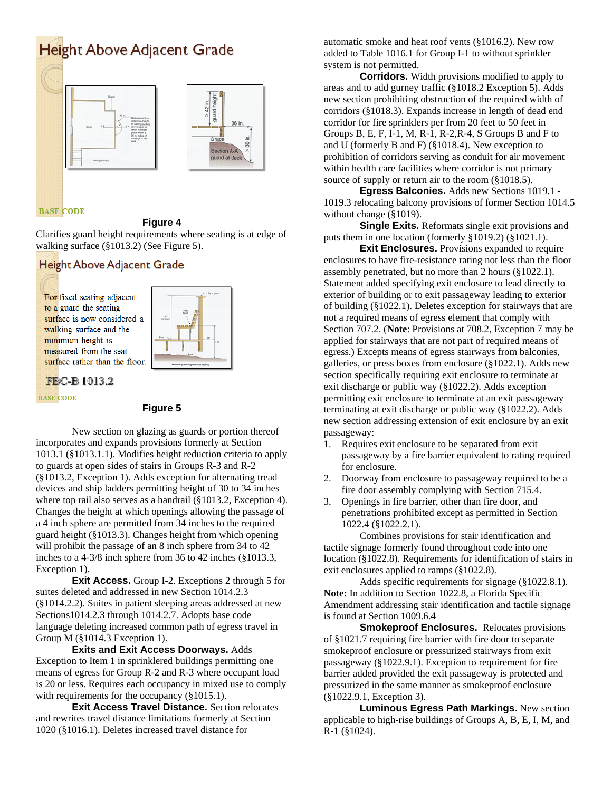

#### **BASE CODE**

#### **Figure 4**

Clarifies guard height requirements where seating is at edge of walking surface (§1013.2) (See Figure 5).

# **Height Above Adjacent Grade**

For fixed seating adjacent to a guard the seating surface is now considered a walking surface and the minimum height is measured from the seat surface rather than the floor.



**FBC-B1013.2** 

#### **BASE CODE**

#### **Figure 5**

 New section on glazing as guards or portion thereof incorporates and expands provisions formerly at Section 1013.1 (§1013.1.1). Modifies height reduction criteria to apply to guards at open sides of stairs in Groups R-3 and R-2 (§1013.2, Exception 1). Adds exception for alternating tread devices and ship ladders permitting height of 30 to 34 inches where top rail also serves as a handrail (§1013.2, Exception 4). Changes the height at which openings allowing the passage of a 4 inch sphere are permitted from 34 inches to the required guard height (§1013.3). Changes height from which opening will prohibit the passage of an 8 inch sphere from 34 to 42 inches to a 4-3/8 inch sphere from 36 to 42 inches (§1013.3, Exception 1).

**Exit Access.** Group I-2. Exceptions 2 through 5 for suites deleted and addressed in new Section 1014.2.3 (§1014.2.2). Suites in patient sleeping areas addressed at new Sections1014.2.3 through 1014.2.7. Adopts base code language deleting increased common path of egress travel in Group M (§1014.3 Exception 1).

 **Exits and Exit Access Doorways.** Adds Exception to Item 1 in sprinklered buildings permitting one means of egress for Group R-2 and R-3 where occupant load is 20 or less. Requires each occupancy in mixed use to comply with requirements for the occupancy (§1015.1).

**Exit Access Travel Distance.** Section relocates and rewrites travel distance limitations formerly at Section 1020 (§1016.1). Deletes increased travel distance for

automatic smoke and heat roof vents (§1016.2). New row added to Table 1016.1 for Group I-1 to without sprinkler system is not permitted.

 **Corridors.** Width provisions modified to apply to areas and to add gurney traffic (§1018.2 Exception 5). Adds new section prohibiting obstruction of the required width of corridors (§1018.3). Expands increase in length of dead end corridor for fire sprinklers per from 20 feet to 50 feet in Groups B, E, F, I-1, M, R-1, R-2,R-4, S Groups B and F to and U (formerly B and F) (§1018.4). New exception to prohibition of corridors serving as conduit for air movement within health care facilities where corridor is not primary source of supply or return air to the room (§1018.5).

 **Egress Balconies.** Adds new Sections 1019.1 - 1019.3 relocating balcony provisions of former Section 1014.5 without change (§1019).

**Single Exits.** Reformats single exit provisions and puts them in one location (formerly §1019.2) (§1021.1).

**Exit Enclosures.** Provisions expanded to require enclosures to have fire-resistance rating not less than the floor assembly penetrated, but no more than 2 hours (§1022.1). Statement added specifying exit enclosure to lead directly to exterior of building or to exit passageway leading to exterior of building (§1022.1). Deletes exception for stairways that are not a required means of egress element that comply with Section 707.2. (**Note**: Provisions at 708.2, Exception 7 may be applied for stairways that are not part of required means of egress.) Excepts means of egress stairways from balconies, galleries, or press boxes from enclosure (§1022.1). Adds new section specifically requiring exit enclosure to terminate at exit discharge or public way (§1022.2). Adds exception permitting exit enclosure to terminate at an exit passageway terminating at exit discharge or public way (§1022.2). Adds new section addressing extension of exit enclosure by an exit passageway:

- 1. Requires exit enclosure to be separated from exit passageway by a fire barrier equivalent to rating required for enclosure.
- 2. Doorway from enclosure to passageway required to be a fire door assembly complying with Section 715.4.
- 3. Openings in fire barrier, other than fire door, and penetrations prohibited except as permitted in Section 1022.4 (§1022.2.1).

 Combines provisions for stair identification and tactile signage formerly found throughout code into one location (§1022.8). Requirements for identification of stairs in exit enclosures applied to ramps (§1022.8).

 Adds specific requirements for signage (§1022.8.1). **Note:** In addition to Section 1022.8, a Florida Specific Amendment addressing stair identification and tactile signage is found at Section 1009.6.4

**Smokeproof Enclosures.** Relocates provisions of §1021.7 requiring fire barrier with fire door to separate smokeproof enclosure or pressurized stairways from exit passageway (§1022.9.1). Exception to requirement for fire barrier added provided the exit passageway is protected and pressurized in the same manner as smokeproof enclosure (§1022.9.1, Exception 3).

 **Luminous Egress Path Markings**. New section applicable to high-rise buildings of Groups A, B, E, I, M, and R-1 (§1024).